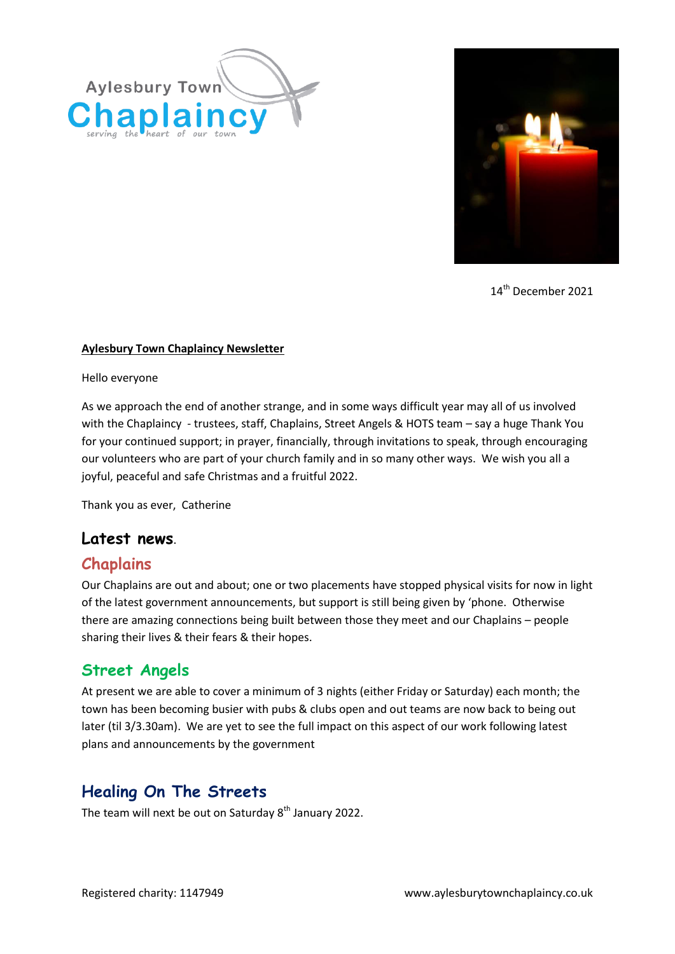



14<sup>th</sup> December 2021

#### **Aylesbury Town Chaplaincy Newsletter**

Hello everyone

As we approach the end of another strange, and in some ways difficult year may all of us involved with the Chaplaincy - trustees, staff, Chaplains, Street Angels & HOTS team – say a huge Thank You for your continued support; in prayer, financially, through invitations to speak, through encouraging our volunteers who are part of your church family and in so many other ways. We wish you all a joyful, peaceful and safe Christmas and a fruitful 2022.

Thank you as ever, Catherine

### **Latest news**.

### **Chaplains**

Our Chaplains are out and about; one or two placements have stopped physical visits for now in light of the latest government announcements, but support is still being given by 'phone. Otherwise there are amazing connections being built between those they meet and our Chaplains – people sharing their lives & their fears & their hopes.

### **Street Angels**

At present we are able to cover a minimum of 3 nights (either Friday or Saturday) each month; the town has been becoming busier with pubs & clubs open and out teams are now back to being out later (til 3/3.30am). We are yet to see the full impact on this aspect of our work following latest plans and announcements by the government

# **Healing On The Streets**

The team will next be out on Saturday  $8<sup>th</sup>$  January 2022.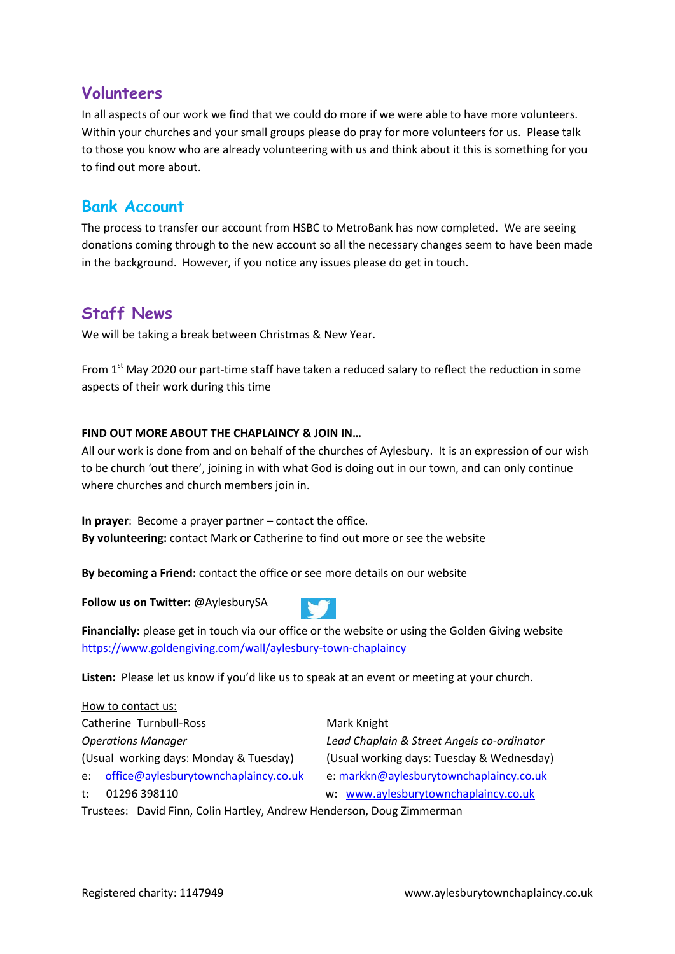### **Volunteers**

In all aspects of our work we find that we could do more if we were able to have more volunteers. Within your churches and your small groups please do pray for more volunteers for us. Please talk to those you know who are already volunteering with us and think about it this is something for you to find out more about.

## **Bank Account**

The process to transfer our account from HSBC to MetroBank has now completed. We are seeing donations coming through to the new account so all the necessary changes seem to have been made in the background. However, if you notice any issues please do get in touch.

## **Staff News**

We will be taking a break between Christmas & New Year.

From 1<sup>st</sup> May 2020 our part-time staff have taken a reduced salary to reflect the reduction in some aspects of their work during this time

#### **FIND OUT MORE ABOUT THE CHAPLAINCY & JOIN IN…**

All our work is done from and on behalf of the churches of Aylesbury. It is an expression of our wish to be church 'out there', joining in with what God is doing out in our town, and can only continue where churches and church members join in.

**In prayer**: Become a prayer partner – contact the office. **By volunteering:** contact Mark or Catherine to find out more or see the website

**By becoming a Friend:** contact the office or see more details on our website

**Follow us on Twitter:** @AylesburySA



**Financially:** please get in touch via our office or the website or using the Golden Giving website <https://www.goldengiving.com/wall/aylesbury-town-chaplaincy>

**Listen:** Please let us know if you'd like us to speak at an event or meeting at your church.

How to contact us: Catherine Turnbull-Ross Mark Knight *Operations Manager Lead Chaplain & Street Angels co-ordinator* (Usual working days: Monday & Tuesday) (Usual working days: Tuesday & Wednesday) e: [office@aylesburytownchaplaincy.co.uk](mailto:office@aylesburytownchaplaincy.co.uk) e: [markkn@aylesburytownchaplaincy.co.uk](mailto:markkn@aylesburytownchaplaincy.co.uk) t: 01296 398110 w: [www.aylesburytownchaplaincy.co.uk](http://www.aylesburytownchaplaincy.co.uk/)

Trustees: David Finn, Colin Hartley, Andrew Henderson, Doug Zimmerman